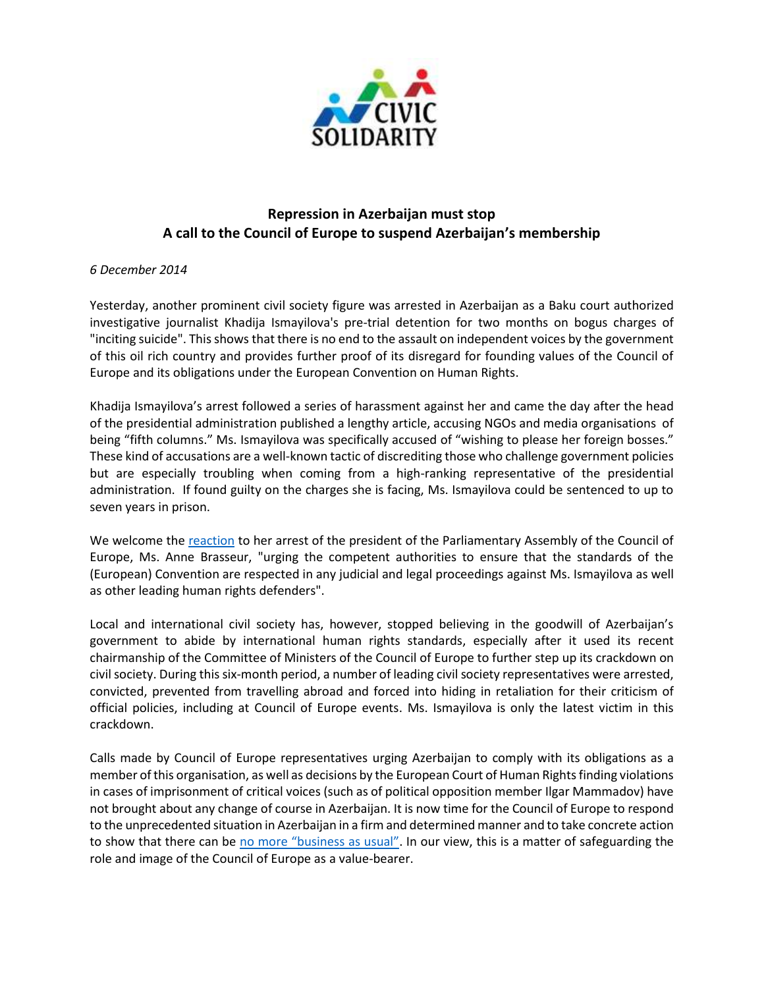

## **Repression in Azerbaijan must stop A call to the Council of Europe to suspend Azerbaijan's membership**

## *6 December 2014*

Yesterday, another prominent civil society figure was arrested in Azerbaijan as a Baku court authorized investigative journalist Khadija Ismayilova's pre-trial detention for two months on bogus charges of "inciting suicide". This shows that there is no end to the assault on independent voices by the government of this oil rich country and provides further proof of its disregard for founding values of the Council of Europe and its obligations under the European Convention on Human Rights.

Khadija Ismayilova's arrest followed a series of harassment against her and came the day after the head of the presidential administration published a lengthy article, accusing NGOs and media organisations of being "fifth columns." Ms. Ismayilova was specifically accused of "wishing to please her foreign bosses." These kind of accusations are a well-known tactic of discrediting those who challenge government policies but are especially troubling when coming from a high-ranking representative of the presidential administration. If found guilty on the charges she is facing, Ms. Ismayilova could be sentenced to up to seven years in prison.

We welcome the [reaction](http://www.assembly.coe.int/nw/xml/News/News-View-EN.asp?newsid=5337&lang=2&cat=15) to her arrest of the president of the Parliamentary Assembly of the Council of Europe, Ms. Anne Brasseur, "urging the competent authorities to ensure that the standards of the (European) Convention are respected in any judicial and legal proceedings against Ms. Ismayilova as well as other leading human rights defenders".

Local and international civil society has, however, stopped believing in the goodwill of Azerbaijan's government to abide by international human rights standards, especially after it used its recent chairmanship of the Committee of Ministers of the Council of Europe to further step up its crackdown on civil society. During this six-month period, a number of leading civil society representatives were arrested, convicted, prevented from travelling abroad and forced into hiding in retaliation for their criticism of official policies, including at Council of Europe events. Ms. Ismayilova is only the latest victim in this crackdown.

Calls made by Council of Europe representatives urging Azerbaijan to comply with its obligations as a member of this organisation, as well as decisions by the European Court of Human Rights finding violations in cases of imprisonment of critical voices (such as of political opposition member Ilgar Mammadov) have not brought about any change of course in Azerbaijan. It is now time for the Council of Europe to respond to the unprecedented situation in Azerbaijan in a firm and determined manner and to take concrete action to show that there can be [no more "business as usual"](http://www.iphronline.org/azerbaijan-no-more-business-as-usual-20141111.html). In our view, this is a matter of safeguarding the role and image of the Council of Europe as a value-bearer.